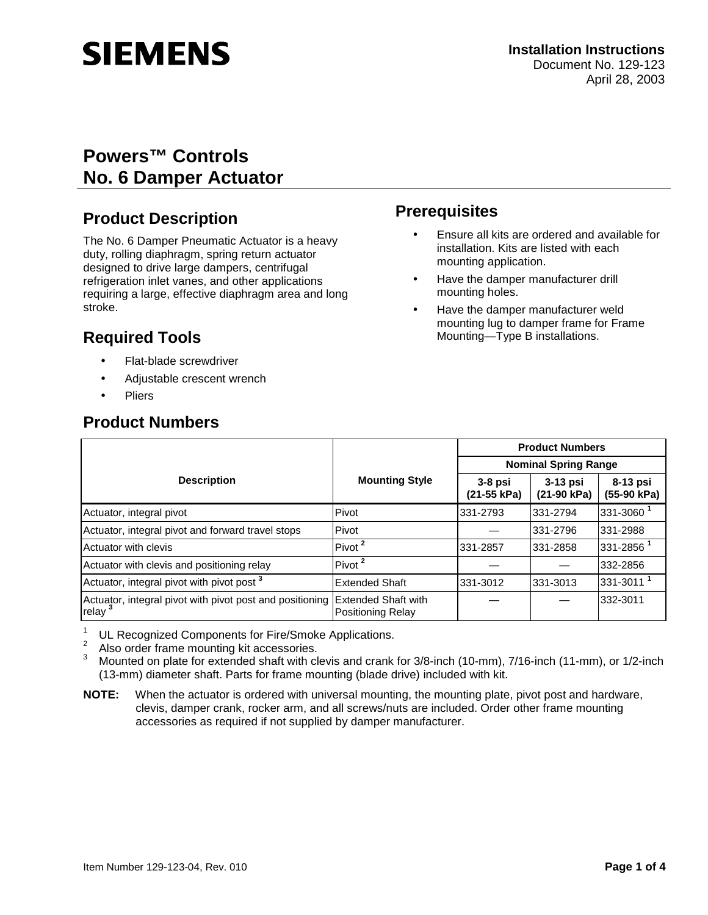# **SIEMENS**

# **Powers™ Controls No. 6 Damper Actuator**

# **Product Description**

The No. 6 Damper Pneumatic Actuator is a heavy duty, rolling diaphragm, spring return actuator designed to drive large dampers, centrifugal refrigeration inlet vanes, and other applications requiring a large, effective diaphragm area and long stroke.

# **Required Tools**

- Flat-blade screwdriver
- Adjustable crescent wrench
- **Pliers**

## **Product Numbers**

# **Prerequisites**

- Ensure all kits are ordered and available for installation. Kits are listed with each mounting application.
- Have the damper manufacturer drill mounting holes.
- Have the damper manufacturer weld mounting lug to damper frame for Frame Mounting—Type B installations.

|                                                                   |                                                        | <b>Product Numbers</b>      |                           |                           |
|-------------------------------------------------------------------|--------------------------------------------------------|-----------------------------|---------------------------|---------------------------|
|                                                                   |                                                        | <b>Nominal Spring Range</b> |                           |                           |
| <b>Description</b>                                                | <b>Mounting Style</b>                                  | $3-8$ psi<br>(21-55 kPa)    | $3-13$ psi<br>(21-90 kPa) | $8-13$ psi<br>(55-90 kPa) |
| Actuator, integral pivot                                          | Pivot                                                  | 331-2793                    | 331-2794                  | 331-3060 <sup>1</sup>     |
| Actuator, integral pivot and forward travel stops                 | Pivot                                                  |                             | 331-2796                  | 331-2988                  |
| Actuator with clevis                                              | Pivot <sup>2</sup>                                     | 331-2857                    | 331-2858                  | 331-2856 <sup>1</sup>     |
| Actuator with clevis and positioning relay                        | Pivot <sup>2</sup>                                     |                             |                           | 332-2856                  |
| Actuator, integral pivot with pivot post <sup>3</sup>             | <b>Extended Shaft</b>                                  | 331-3012                    | 331-3013                  | 331-3011 <sup>1</sup>     |
| Actuator, integral pivot with pivot post and positioning<br>relay | <b>Extended Shaft with</b><br><b>Positioning Relay</b> |                             |                           | 332-3011                  |

<sup>1</sup> UL Recognized Components for Fire/Smoke Applications.<br><sup>2</sup> Also order frame mounting kit accessories.<br><sup>3</sup> Mounted on plate for extended shaft with clevis and crank for 3/8-inch (10-mm), 7/16-inch (11-mm), or 1/2-inch (13-mm) diameter shaft. Parts for frame mounting (blade drive) included with kit.

**NOTE:** When the actuator is ordered with universal mounting, the mounting plate, pivot post and hardware, clevis, damper crank, rocker arm, and all screws/nuts are included. Order other frame mounting accessories as required if not supplied by damper manufacturer.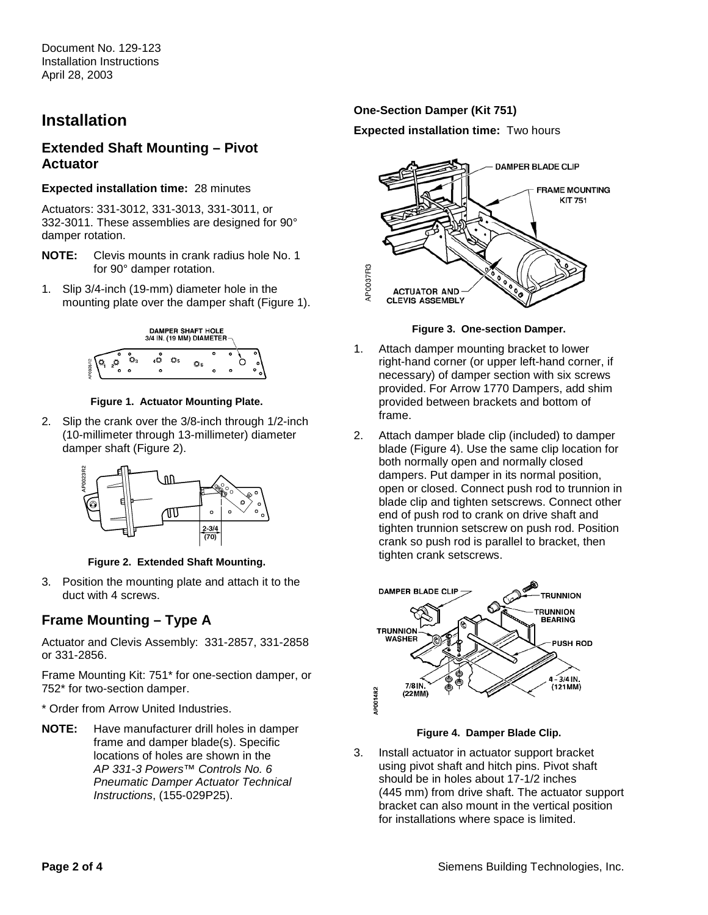## **Installation**

## **Extended Shaft Mounting – Pivot Actuator**

#### **Expected installation time:** 28 minutes

Actuators: 331-3012, 331-3013, 331-3011, or 332-3011. These assemblies are designed for 90° damper rotation.

- **NOTE:** Clevis mounts in crank radius hole No. 1 for 90° damper rotation.
- 1. Slip 3/4-inch (19-mm) diameter hole in the mounting plate over the damper shaft (Figure 1).



#### **Figure 1. Actuator Mounting Plate.**

2. Slip the crank over the 3/8-inch through 1/2-inch (10-millimeter through 13-millimeter) diameter damper shaft (Figure 2).



**Figure 2. Extended Shaft Mounting.** 

3. Position the mounting plate and attach it to the duct with 4 screws.

## **Frame Mounting – Type A**

Actuator and Clevis Assembly: 331-2857, 331-2858 or 331-2856.

Frame Mounting Kit: 751\* for one-section damper, or 752\* for two-section damper.

\* Order from Arrow United Industries.

**NOTE:** Have manufacturer drill holes in damper frame and damper blade(s). Specific locations of holes are shown in the AP 331-3 Powers™ Controls No. 6 Pneumatic Damper Actuator Technical Instructions, (155-029P25).

#### **One-Section Damper (Kit 751)**

**Expected installation time:** Two hours



**Figure 3. One-section Damper.** 

- 1. Attach damper mounting bracket to lower right-hand corner (or upper left-hand corner, if necessary) of damper section with six screws provided. For Arrow 1770 Dampers, add shim provided between brackets and bottom of frame.
- 2. Attach damper blade clip (included) to damper blade (Figure 4). Use the same clip location for both normally open and normally closed dampers. Put damper in its normal position, open or closed. Connect push rod to trunnion in blade clip and tighten setscrews. Connect other end of push rod to crank on drive shaft and tighten trunnion setscrew on push rod. Position crank so push rod is parallel to bracket, then tighten crank setscrews.



**Figure 4. Damper Blade Clip.** 

3. Install actuator in actuator support bracket using pivot shaft and hitch pins. Pivot shaft should be in holes about 17-1/2 inches (445 mm) from drive shaft. The actuator support bracket can also mount in the vertical position for installations where space is limited.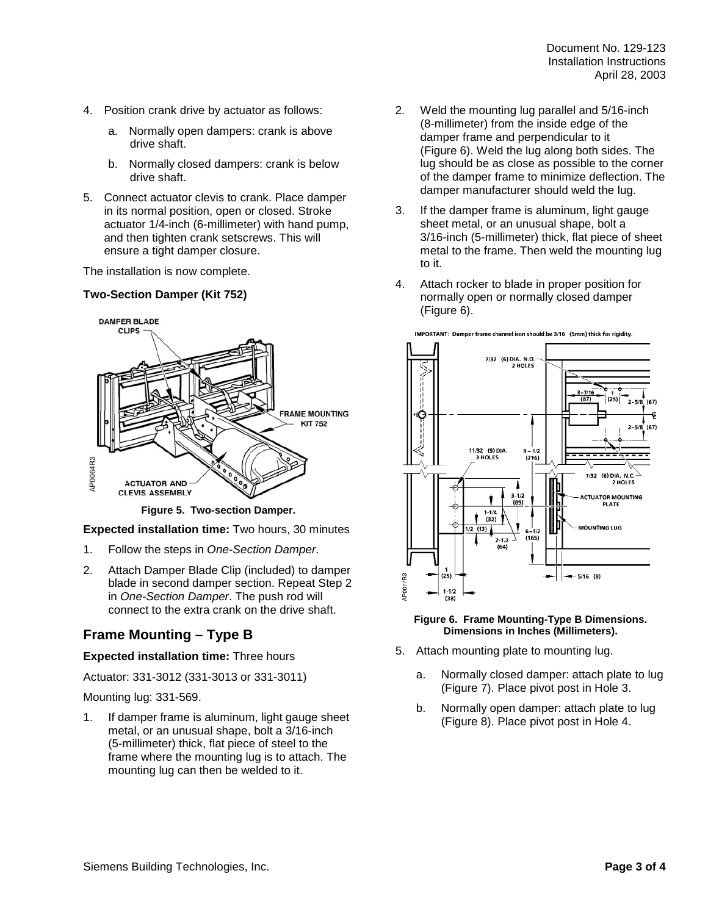- 4. Position crank drive by actuator as follows:
	- a. Normally open dampers: crank is above drive shaft.
	- b. Normally closed dampers: crank is below drive shaft.
- 5. Connect actuator clevis to crank. Place damper in its normal position, open or closed. Stroke actuator 1/4-inch (6-millimeter) with hand pump, and then tighten crank setscrews. This will ensure a tight damper closure.

The installation is now complete.

## **Two-Section Damper (Kit 752)**



**Figure 5. Two-section Damper.** 

**Expected installation time:** Two hours, 30 minutes

- 1. Follow the steps in One-Section Damper.
- 2. Attach Damper Blade Clip (included) to damper blade in second damper section. Repeat Step 2 in One-Section Damper. The push rod will connect to the extra crank on the drive shaft.

# **Frame Mounting – Type B**

## **Expected installation time:** Three hours

Actuator: 331-3012 (331-3013 or 331-3011)

Mounting lug: 331-569.

1. If damper frame is aluminum, light gauge sheet metal, or an unusual shape, bolt a 3/16-inch (5-millimeter) thick, flat piece of steel to the frame where the mounting lug is to attach. The mounting lug can then be welded to it.

- 2. Weld the mounting lug parallel and 5/16-inch (8-millimeter) from the inside edge of the damper frame and perpendicular to it (Figure 6). Weld the lug along both sides. The lug should be as close as possible to the corner of the damper frame to minimize deflection. The damper manufacturer should weld the lug.
- 3. If the damper frame is aluminum, light gauge sheet metal, or an unusual shape, bolt a 3/16-inch (5-millimeter) thick, flat piece of sheet metal to the frame. Then weld the mounting lug to it.
- 4. Attach rocker to blade in proper position for normally open or normally closed damper (Figure 6).



IMPORTANT: Damper frame channel iron should be 3/16 (5mm) thick for rigidity.

#### **Figure 6. Frame Mounting-Type B Dimensions. Dimensions in Inches (Millimeters).**

- 5. Attach mounting plate to mounting lug.
	- a. Normally closed damper: attach plate to lug (Figure 7). Place pivot post in Hole 3.
	- b. Normally open damper: attach plate to lug (Figure 8). Place pivot post in Hole 4.